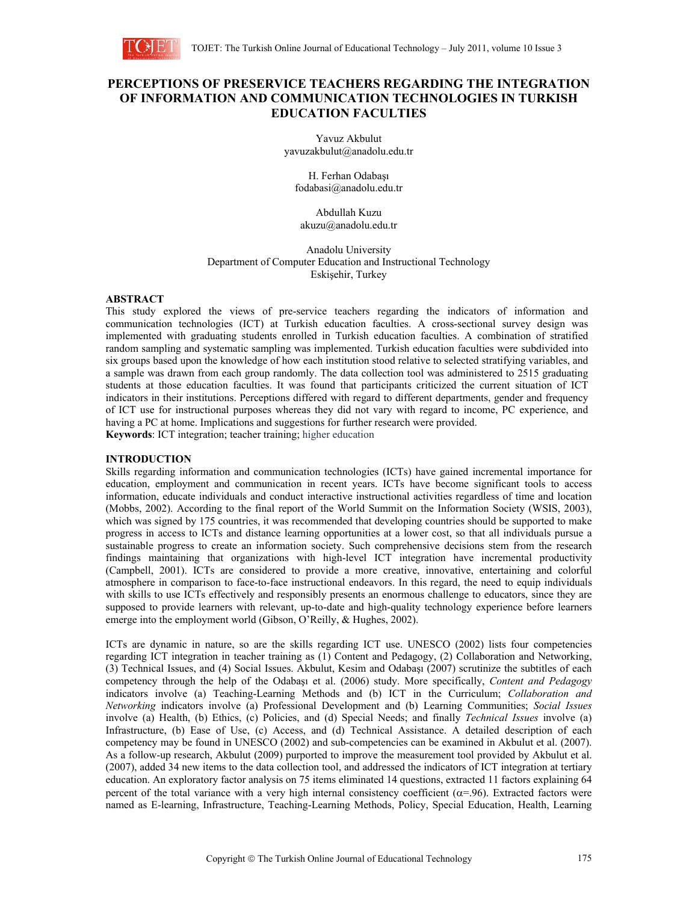

# **PERCEPTIONS OF PRESERVICE TEACHERS REGARDING THE INTEGRATION OF INFORMATION AND COMMUNICATION TECHNOLOGIES IN TURKISH EDUCATION FACULTIES**

Yavuz Akbulut yavuzakbulut@anadolu.edu.tr

H. Ferhan Odabaşı fodabasi@anadolu.edu.tr

Abdullah Kuzu akuzu@anadolu.edu.tr

Anadolu University Department of Computer Education and Instructional Technology Eskişehir, Turkey

# **ABSTRACT**

This study explored the views of pre-service teachers regarding the indicators of information and communication technologies (ICT) at Turkish education faculties. A cross-sectional survey design was implemented with graduating students enrolled in Turkish education faculties. A combination of stratified random sampling and systematic sampling was implemented. Turkish education faculties were subdivided into six groups based upon the knowledge of how each institution stood relative to selected stratifying variables, and a sample was drawn from each group randomly. The data collection tool was administered to 2515 graduating students at those education faculties. It was found that participants criticized the current situation of ICT indicators in their institutions. Perceptions differed with regard to different departments, gender and frequency of ICT use for instructional purposes whereas they did not vary with regard to income, PC experience, and having a PC at home. Implications and suggestions for further research were provided. **Keywords**: ICT integration; teacher training; higher education

# **INTRODUCTION**

Skills regarding information and communication technologies (ICTs) have gained incremental importance for education, employment and communication in recent years. ICTs have become significant tools to access information, educate individuals and conduct interactive instructional activities regardless of time and location (Mobbs, 2002). According to the final report of the World Summit on the Information Society (WSIS, 2003), which was signed by 175 countries, it was recommended that developing countries should be supported to make progress in access to ICTs and distance learning opportunities at a lower cost, so that all individuals pursue a sustainable progress to create an information society. Such comprehensive decisions stem from the research findings maintaining that organizations with high-level ICT integration have incremental productivity (Campbell, 2001). ICTs are considered to provide a more creative, innovative, entertaining and colorful atmosphere in comparison to face-to-face instructional endeavors. In this regard, the need to equip individuals with skills to use ICTs effectively and responsibly presents an enormous challenge to educators, since they are supposed to provide learners with relevant, up-to-date and high-quality technology experience before learners emerge into the employment world (Gibson, O'Reilly, & Hughes, 2002).

ICTs are dynamic in nature, so are the skills regarding ICT use. UNESCO (2002) lists four competencies regarding ICT integration in teacher training as (1) Content and Pedagogy, (2) Collaboration and Networking, (3) Technical Issues, and (4) Social Issues. Akbulut, Kesim and Odabaşı (2007) scrutinize the subtitles of each competency through the help of the Odabaşı et al. (2006) study. More specifically, *Content and Pedagogy* indicators involve (a) Teaching-Learning Methods and (b) ICT in the Curriculum; *Collaboration and Networking* indicators involve (a) Professional Development and (b) Learning Communities; *Social Issues* involve (a) Health, (b) Ethics, (c) Policies, and (d) Special Needs; and finally *Technical Issues* involve (a) Infrastructure, (b) Ease of Use, (c) Access, and (d) Technical Assistance. A detailed description of each competency may be found in UNESCO (2002) and sub-competencies can be examined in Akbulut et al. (2007). As a follow-up research, Akbulut (2009) purported to improve the measurement tool provided by Akbulut et al. (2007), added 34 new items to the data collection tool, and addressed the indicators of ICT integration at tertiary education. An exploratory factor analysis on 75 items eliminated 14 questions, extracted 11 factors explaining 64 percent of the total variance with a very high internal consistency coefficient ( $\alpha$ =.96). Extracted factors were named as E-learning, Infrastructure, Teaching-Learning Methods, Policy, Special Education, Health, Learning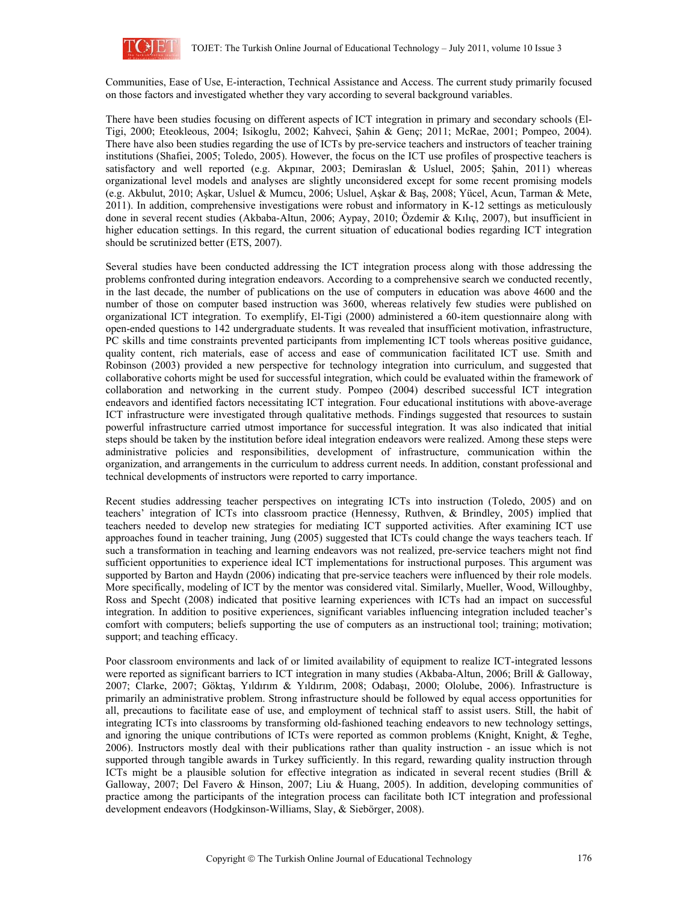

Communities, Ease of Use, E-interaction, Technical Assistance and Access. The current study primarily focused on those factors and investigated whether they vary according to several background variables.

There have been studies focusing on different aspects of ICT integration in primary and secondary schools (El-Tigi, 2000; Eteokleous, 2004; Isikoglu, 2002; Kahveci, Şahin & Genç; 2011; McRae, 2001; Pompeo, 2004). There have also been studies regarding the use of ICTs by pre-service teachers and instructors of teacher training institutions (Shafiei, 2005; Toledo, 2005). However, the focus on the ICT use profiles of prospective teachers is satisfactory and well reported (e.g. Akpınar, 2003; Demiraslan & Usluel, 2005; Şahin, 2011) whereas organizational level models and analyses are slightly unconsidered except for some recent promising models (e.g. Akbulut, 2010; Aşkar, Usluel & Mumcu, 2006; Usluel, Aşkar & Baş, 2008; Yücel, Acun, Tarman & Mete, 2011). In addition, comprehensive investigations were robust and informatory in K-12 settings as meticulously done in several recent studies (Akbaba-Altun, 2006; Aypay, 2010; Özdemir & Kılıç, 2007), but insufficient in higher education settings. In this regard, the current situation of educational bodies regarding ICT integration should be scrutinized better (ETS, 2007).

Several studies have been conducted addressing the ICT integration process along with those addressing the problems confronted during integration endeavors. According to a comprehensive search we conducted recently, in the last decade, the number of publications on the use of computers in education was above 4600 and the number of those on computer based instruction was 3600, whereas relatively few studies were published on organizational ICT integration. To exemplify, El-Tigi (2000) administered a 60-item questionnaire along with open-ended questions to 142 undergraduate students. It was revealed that insufficient motivation, infrastructure, PC skills and time constraints prevented participants from implementing ICT tools whereas positive guidance, quality content, rich materials, ease of access and ease of communication facilitated ICT use. Smith and Robinson (2003) provided a new perspective for technology integration into curriculum, and suggested that collaborative cohorts might be used for successful integration, which could be evaluated within the framework of collaboration and networking in the current study. Pompeo (2004) described successful ICT integration endeavors and identified factors necessitating ICT integration. Four educational institutions with above-average ICT infrastructure were investigated through qualitative methods. Findings suggested that resources to sustain powerful infrastructure carried utmost importance for successful integration. It was also indicated that initial steps should be taken by the institution before ideal integration endeavors were realized. Among these steps were administrative policies and responsibilities, development of infrastructure, communication within the organization, and arrangements in the curriculum to address current needs. In addition, constant professional and technical developments of instructors were reported to carry importance.

Recent studies addressing teacher perspectives on integrating ICTs into instruction (Toledo, 2005) and on teachers' integration of ICTs into classroom practice (Hennessy, Ruthven, & Brindley, 2005) implied that teachers needed to develop new strategies for mediating ICT supported activities. After examining ICT use approaches found in teacher training, Jung (2005) suggested that ICTs could change the ways teachers teach. If such a transformation in teaching and learning endeavors was not realized, pre-service teachers might not find sufficient opportunities to experience ideal ICT implementations for instructional purposes. This argument was supported by Barton and Haydn (2006) indicating that pre-service teachers were influenced by their role models. More specifically, modeling of ICT by the mentor was considered vital. Similarly, Mueller, Wood, Willoughby, Ross and Specht (2008) indicated that positive learning experiences with ICTs had an impact on successful integration. In addition to positive experiences, significant variables influencing integration included teacher's comfort with computers; beliefs supporting the use of computers as an instructional tool; training; motivation; support; and teaching efficacy.

Poor classroom environments and lack of or limited availability of equipment to realize ICT-integrated lessons were reported as significant barriers to ICT integration in many studies (Akbaba-Altun, 2006; Brill & Galloway, 2007; Clarke, 2007; Göktaş, Yıldırım & Yıldırım, 2008; Odabaşı, 2000; Ololube, 2006). Infrastructure is primarily an administrative problem. Strong infrastructure should be followed by equal access opportunities for all, precautions to facilitate ease of use, and employment of technical staff to assist users. Still, the habit of integrating ICTs into classrooms by transforming old-fashioned teaching endeavors to new technology settings, and ignoring the unique contributions of ICTs were reported as common problems (Knight, Knight, & Teghe, 2006). Instructors mostly deal with their publications rather than quality instruction - an issue which is not supported through tangible awards in Turkey sufficiently. In this regard, rewarding quality instruction through ICTs might be a plausible solution for effective integration as indicated in several recent studies (Brill & Galloway, 2007; Del Favero & Hinson, 2007; Liu & Huang, 2005). In addition, developing communities of practice among the participants of the integration process can facilitate both ICT integration and professional development endeavors (Hodgkinson-Williams, Slay, & Siebörger, 2008).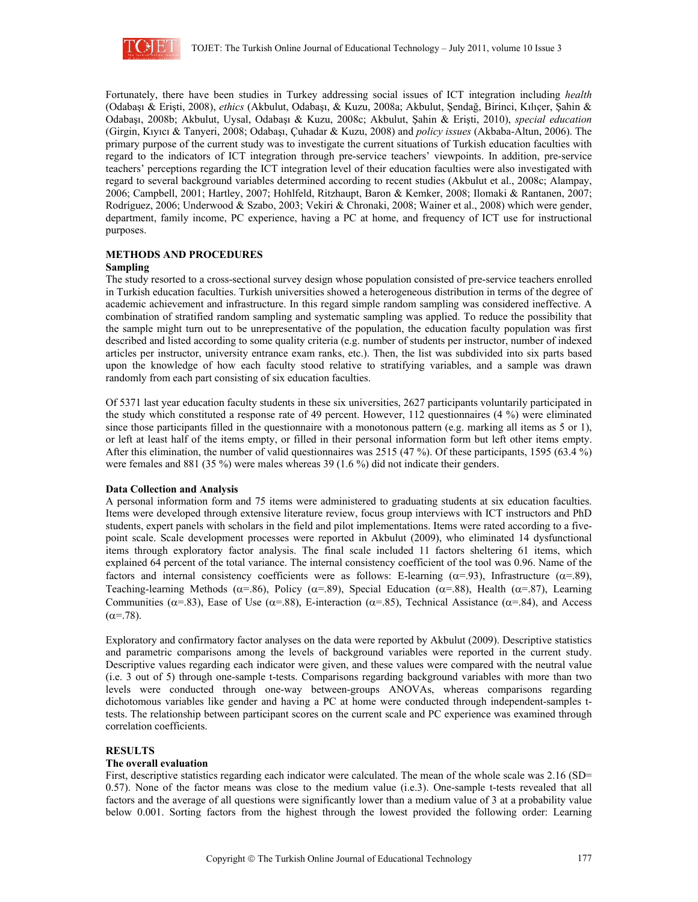

Fortunately, there have been studies in Turkey addressing social issues of ICT integration including *health* (Odabaşı & Erişti, 2008), *ethics* (Akbulut, Odabaşı, & Kuzu, 2008a; Akbulut, Şendağ, Birinci, Kılıçer, Şahin & Odabaşı, 2008b; Akbulut, Uysal, Odabaşı & Kuzu, 2008c; Akbulut, Şahin & Erişti, 2010), *special education*  (Girgin, Kıyıcı & Tanyeri, 2008; Odabaşı, Çuhadar & Kuzu, 2008) and *policy issues* (Akbaba-Altun, 2006). The primary purpose of the current study was to investigate the current situations of Turkish education faculties with regard to the indicators of ICT integration through pre-service teachers' viewpoints. In addition, pre-service teachers' perceptions regarding the ICT integration level of their education faculties were also investigated with regard to several background variables determined according to recent studies (Akbulut et al., 2008c; Alampay, 2006; Campbell, 2001; Hartley, 2007; Hohlfeld, Ritzhaupt, Baron & Kemker, 2008; Ilomaki & Rantanen, 2007; Rodríguez, 2006; Underwood & Szabo, 2003; Vekiri & Chronaki, 2008; Wainer et al., 2008) which were gender, department, family income, PC experience, having a PC at home, and frequency of ICT use for instructional purposes.

# **METHODS AND PROCEDURES**

# **Sampling**

The study resorted to a cross-sectional survey design whose population consisted of pre-service teachers enrolled in Turkish education faculties. Turkish universities showed a heterogeneous distribution in terms of the degree of academic achievement and infrastructure. In this regard simple random sampling was considered ineffective. A combination of stratified random sampling and systematic sampling was applied. To reduce the possibility that the sample might turn out to be unrepresentative of the population, the education faculty population was first described and listed according to some quality criteria (e.g. number of students per instructor, number of indexed articles per instructor, university entrance exam ranks, etc.). Then, the list was subdivided into six parts based upon the knowledge of how each faculty stood relative to stratifying variables, and a sample was drawn randomly from each part consisting of six education faculties.

Of 5371 last year education faculty students in these six universities, 2627 participants voluntarily participated in the study which constituted a response rate of 49 percent. However, 112 questionnaires (4 %) were eliminated since those participants filled in the questionnaire with a monotonous pattern (e.g. marking all items as 5 or 1), or left at least half of the items empty, or filled in their personal information form but left other items empty. After this elimination, the number of valid questionnaires was 2515 (47 %). Of these participants, 1595 (63.4 %) were females and 881 (35 %) were males whereas 39 (1.6 %) did not indicate their genders.

### **Data Collection and Analysis**

A personal information form and 75 items were administered to graduating students at six education faculties. Items were developed through extensive literature review, focus group interviews with ICT instructors and PhD students, expert panels with scholars in the field and pilot implementations. Items were rated according to a fivepoint scale. Scale development processes were reported in Akbulut (2009), who eliminated 14 dysfunctional items through exploratory factor analysis. The final scale included 11 factors sheltering 61 items, which explained 64 percent of the total variance. The internal consistency coefficient of the tool was 0.96. Name of the factors and internal consistency coefficients were as follows: E-learning ( $\alpha$ =.93), Infrastructure ( $\alpha$ =.89), Teaching-learning Methods ( $\alpha$ =.86), Policy ( $\alpha$ =.89), Special Education ( $\alpha$ =.88), Health ( $\alpha$ =.87), Learning Communities ( $\alpha$ =.83), Ease of Use ( $\alpha$ =.88), E-interaction ( $\alpha$ =.85), Technical Assistance ( $\alpha$ =.84), and Access  $(α=.78)$ .

Exploratory and confirmatory factor analyses on the data were reported by Akbulut (2009). Descriptive statistics and parametric comparisons among the levels of background variables were reported in the current study. Descriptive values regarding each indicator were given, and these values were compared with the neutral value (i.e. 3 out of 5) through one-sample t-tests. Comparisons regarding background variables with more than two levels were conducted through one-way between-groups ANOVAs, whereas comparisons regarding dichotomous variables like gender and having a PC at home were conducted through independent-samples ttests. The relationship between participant scores on the current scale and PC experience was examined through correlation coefficients.

# **RESULTS**

# **The overall evaluation**

First, descriptive statistics regarding each indicator were calculated. The mean of the whole scale was 2.16 (SD= 0.57). None of the factor means was close to the medium value (i.e.3). One-sample t-tests revealed that all factors and the average of all questions were significantly lower than a medium value of 3 at a probability value below 0.001. Sorting factors from the highest through the lowest provided the following order: Learning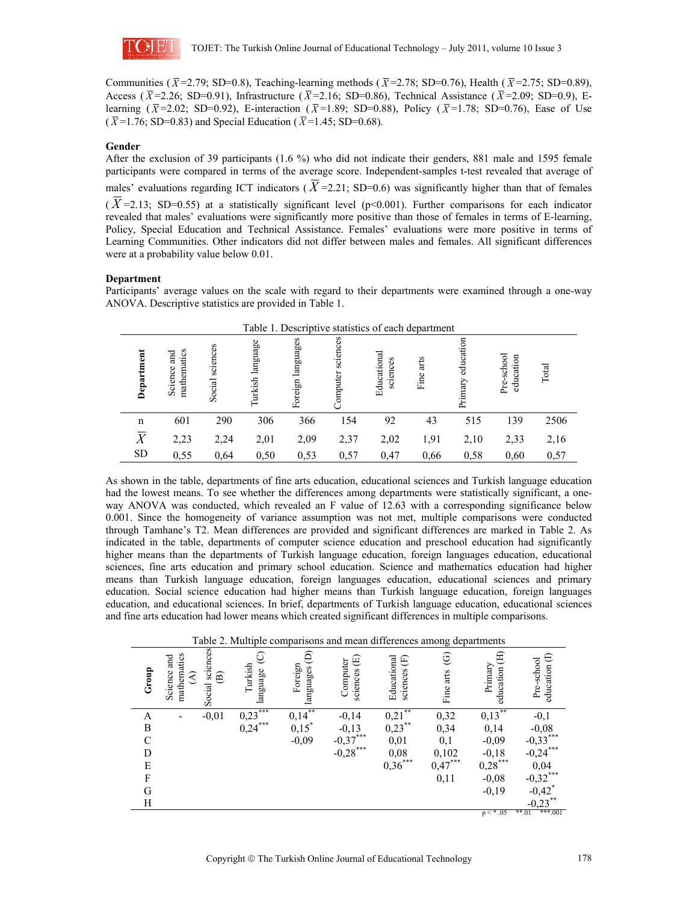

Communities ( $\bar{X}$ =2.79; SD=0.8), Teaching-learning methods ( $\bar{X}$ =2.78; SD=0.76), Health ( $\bar{X}$ =2.75; SD=0.89), Access ( $\bar{X}$ =2.26; SD=0.91), Infrastructure ( $\bar{X}$ =2.16; SD=0.86), Technical Assistance ( $\bar{X}$ =2.09; SD=0.9), Elearning ( $\bar{X}$ =2.02; SD=0.92), E-interaction ( $\bar{X}$ =1.89; SD=0.88), Policy ( $\bar{X}$ =1.78; SD=0.76), Ease of Use  $(\bar{X} = 1.76; SD = 0.83)$  and Special Education ( $\bar{X} = 1.45; SD = 0.68$ ).

# **Gender**

After the exclusion of 39 participants (1.6 %) who did not indicate their genders, 881 male and 1595 female participants were compared in terms of the average score. Independent-samples t-test revealed that average of males' evaluations regarding ICT indicators ( $\overline{X}$ =2.21; SD=0.6) was significantly higher than that of females  $(\overline{X} = 2.13; SD=0.55)$  at a statistically significant level (p<0.001). Further comparisons for each indicator revealed that males' evaluations were significantly more positive than those of females in terms of E-learning, Policy, Special Education and Technical Assistance. Females' evaluations were more positive in terms of Learning Communities. Other indicators did not differ between males and females. All significant differences were at a probability value below 0.01.

# **Department**

Participants' average values on the scale with regard to their departments were examined through a one-way ANOVA. Descriptive statistics are provided in Table 1.

| Table 1. Descriptive statistics of each department |                            |                    |                  |                   |                      |                         |              |                      |                         |       |
|----------------------------------------------------|----------------------------|--------------------|------------------|-------------------|----------------------|-------------------------|--------------|----------------------|-------------------------|-------|
| Department                                         | mathematics<br>Science and | sciences<br>Social | Turkish language | Foreign languages | sciences<br>Computer | Educational<br>sciences | arts<br>Fine | education<br>Primary | Pre-school<br>education | Total |
| $\mathbf n$                                        | 601                        | 290                | 306              | 366               | 154                  | 92                      | 43           | 515                  | 139                     | 2506  |
| $\overline{X}$                                     | 2,23                       | 2,24               | 2,01             | 2,09              | 2,37                 | 2,02                    | 1,91         | 2,10                 | 2,33                    | 2,16  |
| <b>SD</b>                                          | 0,55                       | 0,64               | 0,50             | 0,53              | 0,57                 | 0,47                    | 0,66         | 0,58                 | 0,60                    | 0,57  |

As shown in the table, departments of fine arts education, educational sciences and Turkish language education had the lowest means. To see whether the differences among departments were statistically significant, a oneway ANOVA was conducted, which revealed an F value of 12.63 with a corresponding significance below 0.001. Since the homogeneity of variance assumption was not met, multiple comparisons were conducted through Tamhane's T2. Mean differences are provided and significant differences are marked in Table 2. As indicated in the table, departments of computer science education and preschool education had significantly higher means than the departments of Turkish language education, foreign languages education, educational sciences, fine arts education and primary school education. Science and mathematics education had higher means than Turkish language education, foreign languages education, educational sciences and primary education. Social science education had higher means than Turkish language education, foreign languages education, and educational sciences. In brief, departments of Turkish language education, educational sciences and fine arts education had lower means which created significant differences in multiple comparisons.

| Table 2. Multiple comparisons and mean differences among departments |  |  |
|----------------------------------------------------------------------|--|--|
|                                                                      |  |  |

| Group          | mathematics<br>Science and<br>$\widehat{\mathcal{E}}$ | Social sciences<br>$\widehat{\mathbf{B}}$ | $\odot$<br>Turkish<br>language | $\widehat{\Theta}$<br>Foreign<br>languages | $\widehat{\Xi}$<br>Computer<br>sciences | sciences (F)<br>Educational                                                                     | $\widehat{\mathfrak{S}}$<br>Fine arts | E<br>Primary<br>education                                        | education (I)<br>Pre-school                                                                         |
|----------------|-------------------------------------------------------|-------------------------------------------|--------------------------------|--------------------------------------------|-----------------------------------------|-------------------------------------------------------------------------------------------------|---------------------------------------|------------------------------------------------------------------|-----------------------------------------------------------------------------------------------------|
| A              |                                                       | $-0,01$                                   | ***                            | $0,14^{**}$<br>$0,15^{*}$<br>$-0,09$       | $-0,14$                                 | **<br>$0,21$ <sup>**</sup><br>$0,23$ <sup>**</sup><br>$0,01$<br>$0,08$<br>$0,36$ <sup>***</sup> | $0,32$<br>$0,34$<br>$0,1$             |                                                                  |                                                                                                     |
| $\overline{B}$ |                                                       |                                           | $0,23$ ***<br>$0,24$ ***       |                                            | $-0.13$<br>$-0.37***$<br>$-0.28***$     |                                                                                                 |                                       |                                                                  |                                                                                                     |
| $\mathcal{C}$  |                                                       |                                           |                                |                                            |                                         |                                                                                                 |                                       |                                                                  |                                                                                                     |
| D              |                                                       |                                           |                                |                                            |                                         |                                                                                                 |                                       |                                                                  |                                                                                                     |
| E              |                                                       |                                           |                                |                                            |                                         |                                                                                                 | $0,102$<br>$0,47***$                  |                                                                  |                                                                                                     |
| F              |                                                       |                                           |                                |                                            |                                         |                                                                                                 | 0,11                                  |                                                                  |                                                                                                     |
| G              |                                                       |                                           |                                |                                            |                                         |                                                                                                 |                                       | $0,13$ **<br>0,14<br>-0,09<br>-0,18<br>0,28***<br>-0,08<br>-0,19 | $-0,1$<br>$-0,08$<br>$-0,33$ ***<br>$-0,24$ ***<br>$0,04$<br>$-0,32$ ***<br>$-0,42$ *<br>$0,23$ *** |
| H              |                                                       |                                           |                                |                                            |                                         |                                                                                                 |                                       |                                                                  | $J, 23$ **                                                                                          |
|                |                                                       |                                           |                                |                                            |                                         |                                                                                                 |                                       | $p < * .05$                                                      | ***.001<br>$***.01$                                                                                 |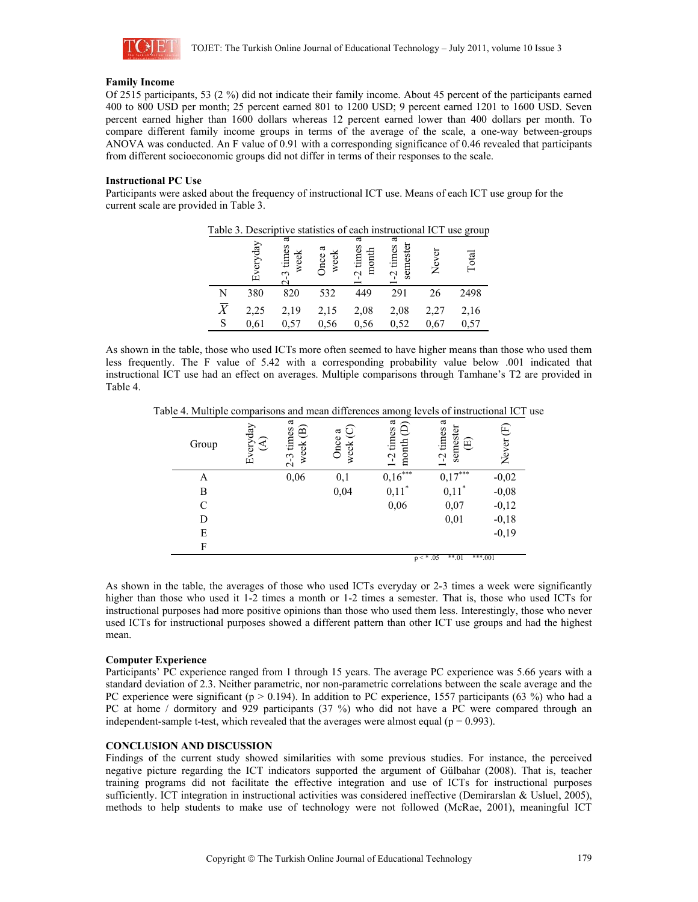

### **Family Income**

Of 2515 participants, 53 (2 %) did not indicate their family income. About 45 percent of the participants earned 400 to 800 USD per month; 25 percent earned 801 to 1200 USD; 9 percent earned 1201 to 1600 USD. Seven percent earned higher than 1600 dollars whereas 12 percent earned lower than 400 dollars per month. To compare different family income groups in terms of the average of the scale, a one-way between-groups ANOVA was conducted. An F value of 0.91 with a corresponding significance of 0.46 revealed that participants from different socioeconomic groups did not differ in terms of their responses to the scale.

# **Instructional PC Use**

Participants were asked about the frequency of instructional ICT use. Means of each ICT use group for the current scale are provided in Table 3.

|                     | Everyday     | a<br>$-3$ times<br>week<br>$\mathrel{\sim}$ | )nce a<br>week | a<br>2 times<br>month | a<br>semester<br>$-2$ times | Never        | Total        |
|---------------------|--------------|---------------------------------------------|----------------|-----------------------|-----------------------------|--------------|--------------|
| N                   | 380          | 820                                         | 532            | 449                   | 291                         | 26           | 2498         |
| $\overline{X}$<br>S | 2,25<br>0.61 | 2,19<br>0.57                                | 2,15<br>0.56   | 2,08<br>0,56          | 2,08<br>0,52                | 2,27<br>0,67 | 2,16<br>0,57 |

Table 3. Descriptive statistics of each instructional ICT use group

As shown in the table, those who used ICTs more often seemed to have higher means than those who used them less frequently. The F value of 5.42 with a corresponding probability value below .001 indicated that instructional ICT use had an effect on averages. Multiple comparisons through Tamhane's T2 are provided in Table 4.

Table 4. Multiple comparisons and mean differences among levels of instructional ICT use

| Group         | Everyday<br>$\widehat{\mathcal{L}}$ | ß<br>මු<br>times<br>week<br>$2 - 3$ | ن<br>4<br>Once<br>week | ß<br>ê<br>1-2 times<br>month | 4<br>semester<br>times<br>⊕<br>$\tilde{C}$ | $\widehat{\mathbb{E}}$<br>Never |
|---------------|-------------------------------------|-------------------------------------|------------------------|------------------------------|--------------------------------------------|---------------------------------|
| A             |                                     | 0,06                                | 0,1                    | ***<br>0,16                  | ***<br>0,17                                | $-0,02$                         |
| B             |                                     |                                     | 0,04                   | $0,11*$                      | $0,11*$                                    | $-0,08$                         |
| $\mathcal{C}$ |                                     |                                     |                        | 0,06                         | 0,07                                       | $-0,12$                         |
| D             |                                     |                                     |                        |                              | 0,01                                       | $-0,18$                         |
| E             |                                     |                                     |                        |                              |                                            | $-0,19$                         |
| F             |                                     |                                     |                        |                              |                                            |                                 |
|               |                                     |                                     |                        |                              | $***.01$<br>$p < * .05$                    | ***.001                         |

As shown in the table, the averages of those who used ICTs everyday or 2-3 times a week were significantly higher than those who used it 1-2 times a month or 1-2 times a semester. That is, those who used ICTs for instructional purposes had more positive opinions than those who used them less. Interestingly, those who never used ICTs for instructional purposes showed a different pattern than other ICT use groups and had the highest mean.

#### **Computer Experience**

Participants' PC experience ranged from 1 through 15 years. The average PC experience was 5.66 years with a standard deviation of 2.3. Neither parametric, nor non-parametric correlations between the scale average and the PC experience were significant ( $p > 0.194$ ). In addition to PC experience, 1557 participants (63 %) who had a PC at home / dormitory and 929 participants (37 %) who did not have a PC were compared through an independent-sample t-test, which revealed that the averages were almost equal ( $p = 0.993$ ).

# **CONCLUSION AND DISCUSSION**

Findings of the current study showed similarities with some previous studies. For instance, the perceived negative picture regarding the ICT indicators supported the argument of Gülbahar (2008). That is, teacher training programs did not facilitate the effective integration and use of ICTs for instructional purposes sufficiently. ICT integration in instructional activities was considered ineffective (Demirarslan & Usluel, 2005), methods to help students to make use of technology were not followed (McRae, 2001), meaningful ICT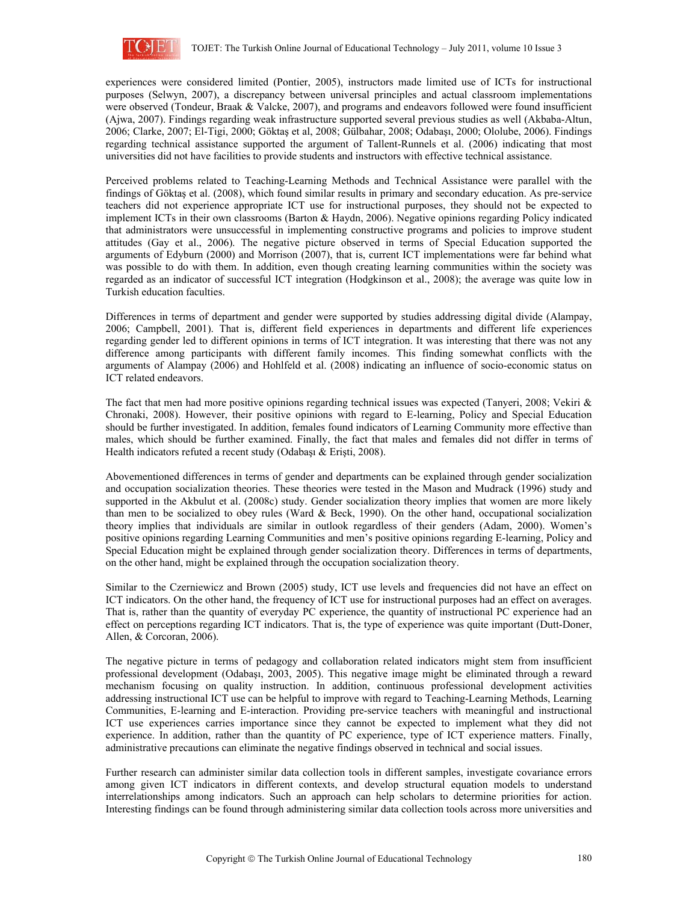

experiences were considered limited (Pontier, 2005), instructors made limited use of ICTs for instructional purposes (Selwyn, 2007), a discrepancy between universal principles and actual classroom implementations were observed (Tondeur, Braak & Valcke, 2007), and programs and endeavors followed were found insufficient (Ajwa, 2007). Findings regarding weak infrastructure supported several previous studies as well (Akbaba-Altun, 2006; Clarke, 2007; El-Tigi, 2000; Göktaş et al, 2008; Gülbahar, 2008; Odabaşı, 2000; Ololube, 2006). Findings regarding technical assistance supported the argument of Tallent-Runnels et al. (2006) indicating that most universities did not have facilities to provide students and instructors with effective technical assistance.

Perceived problems related to Teaching-Learning Methods and Technical Assistance were parallel with the findings of Göktaş et al. (2008), which found similar results in primary and secondary education. As pre-service teachers did not experience appropriate ICT use for instructional purposes, they should not be expected to implement ICTs in their own classrooms (Barton & Haydn, 2006). Negative opinions regarding Policy indicated that administrators were unsuccessful in implementing constructive programs and policies to improve student attitudes (Gay et al., 2006). The negative picture observed in terms of Special Education supported the arguments of Edyburn (2000) and Morrison (2007), that is, current ICT implementations were far behind what was possible to do with them. In addition, even though creating learning communities within the society was regarded as an indicator of successful ICT integration (Hodgkinson et al., 2008); the average was quite low in Turkish education faculties.

Differences in terms of department and gender were supported by studies addressing digital divide (Alampay, 2006; Campbell, 2001). That is, different field experiences in departments and different life experiences regarding gender led to different opinions in terms of ICT integration. It was interesting that there was not any difference among participants with different family incomes. This finding somewhat conflicts with the arguments of Alampay (2006) and Hohlfeld et al. (2008) indicating an influence of socio-economic status on ICT related endeavors.

The fact that men had more positive opinions regarding technical issues was expected (Tanyeri, 2008; Vekiri & Chronaki, 2008). However, their positive opinions with regard to E-learning, Policy and Special Education should be further investigated. In addition, females found indicators of Learning Community more effective than males, which should be further examined. Finally, the fact that males and females did not differ in terms of Health indicators refuted a recent study (Odabaşı & Erişti, 2008).

Abovementioned differences in terms of gender and departments can be explained through gender socialization and occupation socialization theories. These theories were tested in the Mason and Mudrack (1996) study and supported in the Akbulut et al. (2008c) study. Gender socialization theory implies that women are more likely than men to be socialized to obey rules (Ward  $\&$  Beck, 1990). On the other hand, occupational socialization theory implies that individuals are similar in outlook regardless of their genders (Adam, 2000). Women's positive opinions regarding Learning Communities and men's positive opinions regarding E-learning, Policy and Special Education might be explained through gender socialization theory. Differences in terms of departments, on the other hand, might be explained through the occupation socialization theory.

Similar to the Czerniewicz and Brown (2005) study, ICT use levels and frequencies did not have an effect on ICT indicators. On the other hand, the frequency of ICT use for instructional purposes had an effect on averages. That is, rather than the quantity of everyday PC experience, the quantity of instructional PC experience had an effect on perceptions regarding ICT indicators. That is, the type of experience was quite important (Dutt-Doner, Allen, & Corcoran, 2006).

The negative picture in terms of pedagogy and collaboration related indicators might stem from insufficient professional development (Odabaşı, 2003, 2005). This negative image might be eliminated through a reward mechanism focusing on quality instruction. In addition, continuous professional development activities addressing instructional ICT use can be helpful to improve with regard to Teaching-Learning Methods, Learning Communities, E-learning and E-interaction. Providing pre-service teachers with meaningful and instructional ICT use experiences carries importance since they cannot be expected to implement what they did not experience. In addition, rather than the quantity of PC experience, type of ICT experience matters. Finally, administrative precautions can eliminate the negative findings observed in technical and social issues.

Further research can administer similar data collection tools in different samples, investigate covariance errors among given ICT indicators in different contexts, and develop structural equation models to understand interrelationships among indicators. Such an approach can help scholars to determine priorities for action. Interesting findings can be found through administering similar data collection tools across more universities and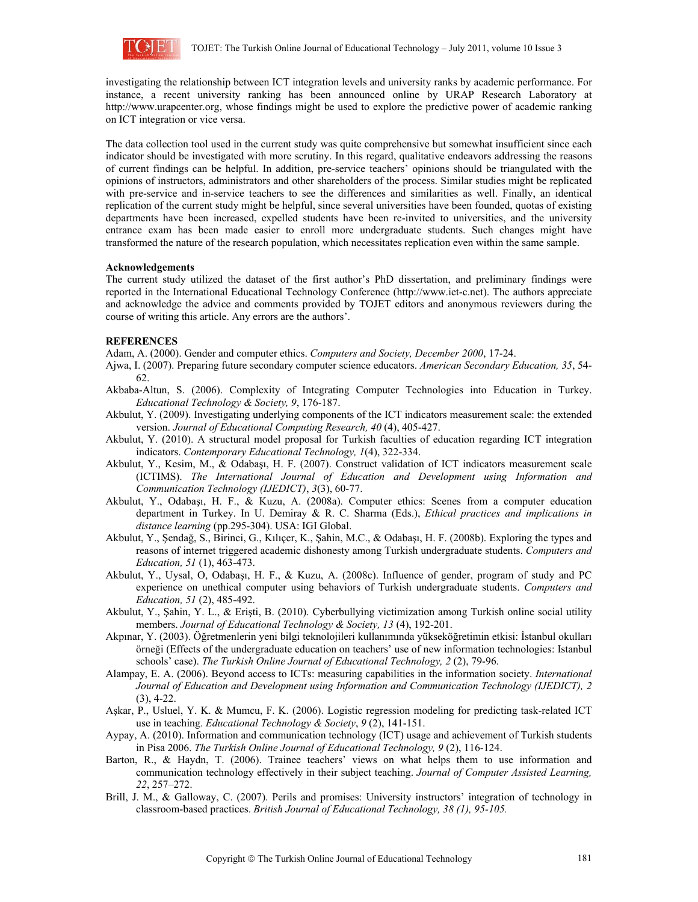

investigating the relationship between ICT integration levels and university ranks by academic performance. For instance, a recent university ranking has been announced online by URAP Research Laboratory at http://www.urapcenter.org, whose findings might be used to explore the predictive power of academic ranking on ICT integration or vice versa.

The data collection tool used in the current study was quite comprehensive but somewhat insufficient since each indicator should be investigated with more scrutiny. In this regard, qualitative endeavors addressing the reasons of current findings can be helpful. In addition, pre-service teachers' opinions should be triangulated with the opinions of instructors, administrators and other shareholders of the process. Similar studies might be replicated with pre-service and in-service teachers to see the differences and similarities as well. Finally, an identical replication of the current study might be helpful, since several universities have been founded, quotas of existing departments have been increased, expelled students have been re-invited to universities, and the university entrance exam has been made easier to enroll more undergraduate students. Such changes might have transformed the nature of the research population, which necessitates replication even within the same sample.

#### **Acknowledgements**

The current study utilized the dataset of the first author's PhD dissertation, and preliminary findings were reported in the International Educational Technology Conference (http://www.iet-c.net). The authors appreciate and acknowledge the advice and comments provided by TOJET editors and anonymous reviewers during the course of writing this article. Any errors are the authors'.

# **REFERENCES**

Adam, A. (2000). Gender and computer ethics. *Computers and Society, December 2000*, 17-24.

- Ajwa, I. (2007). Preparing future secondary computer science educators. *American Secondary Education, 35*, 54- 62.
- Akbaba-Altun, S. (2006). Complexity of Integrating Computer Technologies into Education in Turkey. *Educational Technology & Society, 9*, 176-187.
- Akbulut, Y. (2009). Investigating underlying components of the ICT indicators measurement scale: the extended version. *Journal of Educational Computing Research, 40* (4), 405-427.
- Akbulut, Y. (2010). A structural model proposal for Turkish faculties of education regarding ICT integration indicators. *Contemporary Educational Technology, 1*(4), 322-334.
- Akbulut, Y., Kesim, M., & Odabaşı, H. F. (2007). Construct validation of ICT indicators measurement scale (ICTIMS). *The International Journal of Education and Development using Information and Communication Technology (IJEDICT)*, *3*(3), 60-77.
- Akbulut, Y., Odabaşı, H. F., & Kuzu, A. (2008a). Computer ethics: Scenes from a computer education department in Turkey. In U. Demiray & R. C. Sharma (Eds.), *Ethical practices and implications in distance learning* (pp.295-304). USA: IGI Global.
- Akbulut, Y., Şendağ, S., Birinci, G., Kılıçer, K., Şahin, M.C., & Odabaşı, H. F. (2008b). Exploring the types and reasons of internet triggered academic dishonesty among Turkish undergraduate students. *Computers and Education, 51* (1), 463-473.
- Akbulut, Y., Uysal, O, Odabaşı, H. F., & Kuzu, A. (2008c). Influence of gender, program of study and PC experience on unethical computer using behaviors of Turkish undergraduate students. *Computers and Education, 51* (2), 485-492.
- Akbulut, Y., Şahin, Y. L., & Erişti, B. (2010). Cyberbullying victimization among Turkish online social utility members. *Journal of Educational Technology & Society, 13* (4), 192-201.
- Akpınar, Y. (2003). Öğretmenlerin yeni bilgi teknolojileri kullanımında yükseköğretimin etkisi: İstanbul okulları örneği (Effects of the undergraduate education on teachers' use of new information technologies: Istanbul schools' case). *The Turkish Online Journal of Educational Technology, 2* (2), 79-96.
- Alampay, E. A. (2006). Beyond access to ICTs: measuring capabilities in the information society. *International Journal of Education and Development using Information and Communication Technology (IJEDICT), 2*  (3), 4-22.
- Aşkar, P., Usluel, Y. K. & Mumcu, F. K. (2006). Logistic regression modeling for predicting task-related ICT use in teaching. *Educational Technology & Society*, *9* (2), 141-151.
- Aypay, A. (2010). Information and communication technology (ICT) usage and achievement of Turkish students in Pisa 2006. *The Turkish Online Journal of Educational Technology, 9* (2), 116-124.
- Barton, R., & Haydn, T. (2006). Trainee teachers' views on what helps them to use information and communication technology effectively in their subject teaching. *Journal of Computer Assisted Learning, 22*, 257–272.
- Brill, J. M., & Galloway, C. (2007). Perils and promises: University instructors' integration of technology in classroom-based practices. *British Journal of Educational Technology, 38 (1), 95-105.*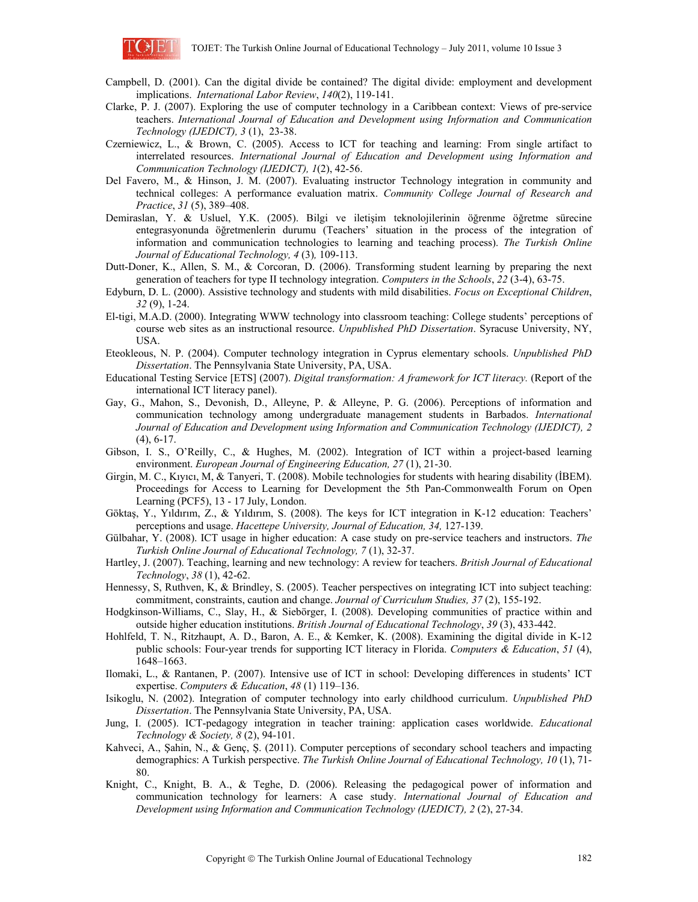

- Campbell, D. (2001). Can the digital divide be contained? The digital divide: employment and development implications. *International Labor Review*, *140*(2), 119-141.
- Clarke, P. J. (2007). Exploring the use of computer technology in a Caribbean context: Views of pre-service teachers. *International Journal of Education and Development using Information and Communication Technology (IJEDICT), 3* (1), 23-38.
- Czerniewicz, L., & Brown, C. (2005). Access to ICT for teaching and learning: From single artifact to interrelated resources. *International Journal of Education and Development using Information and Communication Technology (IJEDICT), 1*(2), 42-56.
- Del Favero, M., & Hinson, J. M. (2007). Evaluating instructor Technology integration in community and technical colleges: A performance evaluation matrix. *Community College Journal of Research and Practice*, *31* (5), 389–408.
- Demiraslan, Y. & Usluel, Y.K. (2005). Bilgi ve iletişim teknolojilerinin öğrenme öğretme sürecine entegrasyonunda öğretmenlerin durumu (Teachers' situation in the process of the integration of information and communication technologies to learning and teaching process). *The Turkish Online Journal of Educational Technology, 4* (3)*,* 109-113.
- Dutt-Doner, K., Allen, S. M., & Corcoran, D. (2006). Transforming student learning by preparing the next generation of teachers for type II technology integration. *Computers in the Schools*, *22* (3-4), 63-75.
- Edyburn, D. L. (2000). Assistive technology and students with mild disabilities. *Focus on Exceptional Children*, *32* (9), 1-24.
- El-tigi, M.A.D. (2000). Integrating WWW technology into classroom teaching: College students' perceptions of course web sites as an instructional resource. *Unpublished PhD Dissertation*. Syracuse University, NY, USA.
- Eteokleous, N. P. (2004). Computer technology integration in Cyprus elementary schools. *Unpublished PhD Dissertation*. The Pennsylvania State University, PA, USA.
- Educational Testing Service [ETS] (2007). *Digital transformation: A framework for ICT literacy.* (Report of the international ICT literacy panel).
- Gay, G., Mahon, S., Devonish, D., Alleyne, P. & Alleyne, P. G. (2006). Perceptions of information and communication technology among undergraduate management students in Barbados. *International Journal of Education and Development using Information and Communication Technology (IJEDICT), 2* (4), 6-17.
- Gibson, I. S., O'Reilly, C., & Hughes, M. (2002). Integration of ICT within a project-based learning environment. *European Journal of Engineering Education, 27* (1), 21-30.
- Girgin, M. C., Kıyıcı, M, & Tanyeri, T. (2008). Mobile technologies for students with hearing disability (İBEM). Proceedings for Access to Learning for Development the 5th Pan-Commonwealth Forum on Open Learning (PCF5), 13 - 17 July, London.
- Göktaş, Y., Yıldırım, Z., & Yıldırım, S. (2008). The keys for ICT integration in K-12 education: Teachers' perceptions and usage. *Hacettepe University, Journal of Education, 34,* 127-139.
- Gülbahar, Y. (2008). ICT usage in higher education: A case study on pre-service teachers and instructors. *The Turkish Online Journal of Educational Technology, 7* (1), 32-37.
- Hartley, J. (2007). Teaching, learning and new technology: A review for teachers. *British Journal of Educational Technology*, *38* (1), 42-62.
- Hennessy, S, Ruthven, K, & Brindley, S. (2005). Teacher perspectives on integrating ICT into subject teaching: commitment, constraints, caution and change. *Journal of Curriculum Studies, 37* (2), 155-192.
- Hodgkinson-Williams, C., Slay, H., & Siebörger, I. (2008). Developing communities of practice within and outside higher education institutions. *British Journal of Educational Technology*, *39* (3), 433-442.
- Hohlfeld, T. N., Ritzhaupt, A. D., Baron, A. E., & Kemker, K. (2008). Examining the digital divide in K-12 public schools: Four-year trends for supporting ICT literacy in Florida. *Computers & Education*, *51* (4), 1648–1663.
- Ilomaki, L., & Rantanen, P. (2007). Intensive use of ICT in school: Developing differences in students' ICT expertise. *Computers & Education*, *48* (1) 119–136.
- Isikoglu, N. (2002). Integration of computer technology into early childhood curriculum. *Unpublished PhD Dissertation*. The Pennsylvania State University, PA, USA.
- Jung, I. (2005). ICT-pedagogy integration in teacher training: application cases worldwide. *Educational Technology & Society, 8* (2), 94-101.
- Kahveci, A., Şahin, N., & Genç, Ş. (2011). Computer perceptions of secondary school teachers and impacting demographics: A Turkish perspective. *The Turkish Online Journal of Educational Technology, 10* (1), 71- 80.
- Knight, C., Knight, B. A., & Teghe, D. (2006). Releasing the pedagogical power of information and communication technology for learners: A case study. *International Journal of Education and Development using Information and Communication Technology (IJEDICT), 2 (2), 27-34.*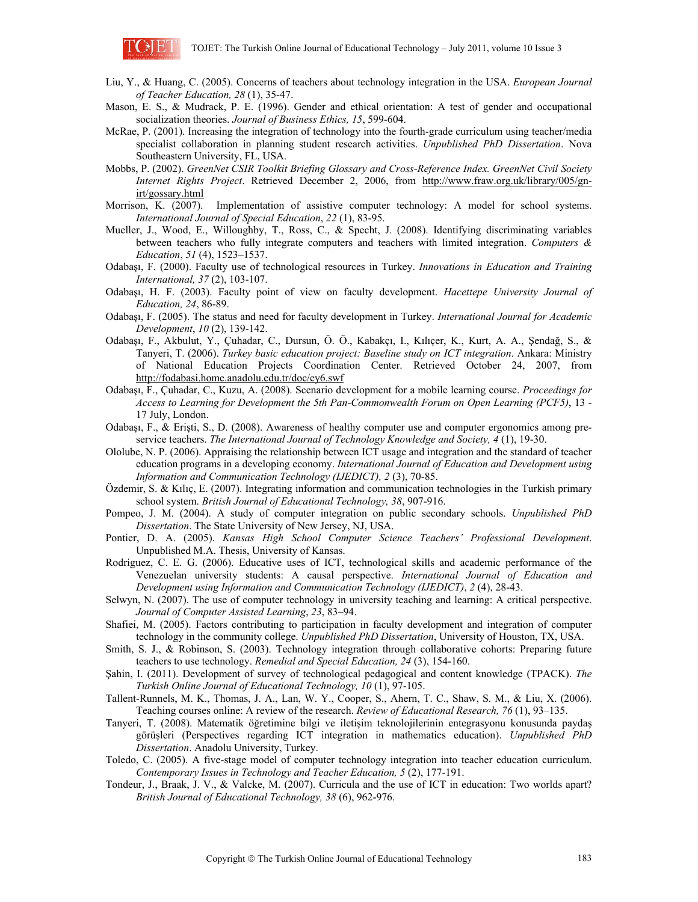

- Liu, Y., & Huang, C. (2005). Concerns of teachers about technology integration in the USA. *European Journal of Teacher Education, 28* (1), 35-47.
- Mason, E. S., & Mudrack, P. E. (1996). Gender and ethical orientation: A test of gender and occupational socialization theories. *Journal of Business Ethics, 15*, 599-604.
- McRae, P. (2001). Increasing the integration of technology into the fourth-grade curriculum using teacher/media specialist collaboration in planning student research activities. *Unpublished PhD Dissertation*. Nova Southeastern University, FL, USA.
- Mobbs, P. (2002). *GreenNet CSIR Toolkit Briefing Glossary and Cross-Reference Index. GreenNet Civil Society Internet Rights Project*. Retrieved December 2, 2006, from http://www.fraw.org.uk/library/005/gnirt/gossary.html
- Morrison, K. (2007). Implementation of assistive computer technology: A model for school systems. *International Journal of Special Education*, *22* (1), 83-95.
- Mueller, J., Wood, E., Willoughby, T., Ross, C., & Specht, J. (2008). Identifying discriminating variables between teachers who fully integrate computers and teachers with limited integration. *Computers & Education*, *51* (4), 1523–1537.
- Odabaşı, F. (2000). Faculty use of technological resources in Turkey. *Innovations in Education and Training International, 37* (2), 103-107.
- Odabaşı, H. F. (2003). Faculty point of view on faculty development. *Hacettepe University Journal of Education, 24*, 86-89.
- Odabaşı, F. (2005). The status and need for faculty development in Turkey. *International Journal for Academic Development*, *10* (2), 139-142.
- Odabaşı, F., Akbulut, Y., Çuhadar, C., Dursun, Ö. Ö., Kabakçı, I., Kılıçer, K., Kurt, A. A., Şendağ, S., & Tanyeri, T. (2006). *Turkey basic education project: Baseline study on ICT integration*. Ankara: Ministry of National Education Projects Coordination Center. Retrieved October 24, 2007, from http://fodabasi.home.anadolu.edu.tr/doc/ey6.swf
- Odabaşı, F., Çuhadar, C., Kuzu, A. (2008). Scenario development for a mobile learning course. *Proceedings for Access to Learning for Development the 5th Pan-Commonwealth Forum on Open Learning (PCF5)*, 13 - 17 July, London.
- Odabaşı, F., & Erişti, S., D. (2008). Awareness of healthy computer use and computer ergonomics among preservice teachers. *The International Journal of Technology Knowledge and Society, 4* (1), 19-30.
- Ololube, N. P. (2006). Appraising the relationship between ICT usage and integration and the standard of teacher education programs in a developing economy. *International Journal of Education and Development using Information and Communication Technology (IJEDICT), 2* (3), 70-85.
- Özdemir, S. & Kılıç, E. (2007). Integrating information and communication technologies in the Turkish primary school system. *British Journal of Educational Technology, 38*, 907-916.
- Pompeo, J. M. (2004). A study of computer integration on public secondary schools. *Unpublished PhD Dissertation*. The State University of New Jersey, NJ, USA.
- Pontier, D. A. (2005). *Kansas High School Computer Science Teachers' Professional Development*. Unpublished M.A. Thesis, University of Kansas.
- Rodríguez, C. E. G. (2006). Educative uses of ICT, technological skills and academic performance of the Venezuelan university students: A causal perspective. *International Journal of Education and Development using Information and Communication Technology (IJEDICT)*, *2* (4), 28-43.
- Selwyn, N. (2007). The use of computer technology in university teaching and learning: A critical perspective. *Journal of Computer Assisted Learning*, *23*, 83–94.
- Shafiei, M. (2005). Factors contributing to participation in faculty development and integration of computer technology in the community college. *Unpublished PhD Dissertation*, University of Houston, TX, USA.
- Smith, S. J., & Robinson, S. (2003). Technology integration through collaborative cohorts: Preparing future teachers to use technology. *Remedial and Special Education, 24* (3), 154-160.
- Şahin, I. (2011). Development of survey of technological pedagogical and content knowledge (TPACK). *The Turkish Online Journal of Educational Technology, 10* (1), 97-105.
- Tallent-Runnels, M. K., Thomas, J. A., Lan, W. Y., Cooper, S., Ahern, T. C., Shaw, S. M., & Liu, X. (2006). Teaching courses online: A review of the research. *Review of Educational Research, 76* (1), 93–135.
- Tanyeri, T. (2008). Matematik öğretimine bilgi ve iletişim teknolojilerinin entegrasyonu konusunda paydaş görüşleri (Perspectives regarding ICT integration in mathematics education). *Unpublished PhD Dissertation*. Anadolu University, Turkey.
- Toledo, C. (2005). A five-stage model of computer technology integration into teacher education curriculum. *Contemporary Issues in Technology and Teacher Education, 5 (2), 177-191.*
- Tondeur, J., Braak, J. V., & Valcke, M. (2007). Curricula and the use of ICT in education: Two worlds apart? *British Journal of Educational Technology, 38* (6), 962-976.